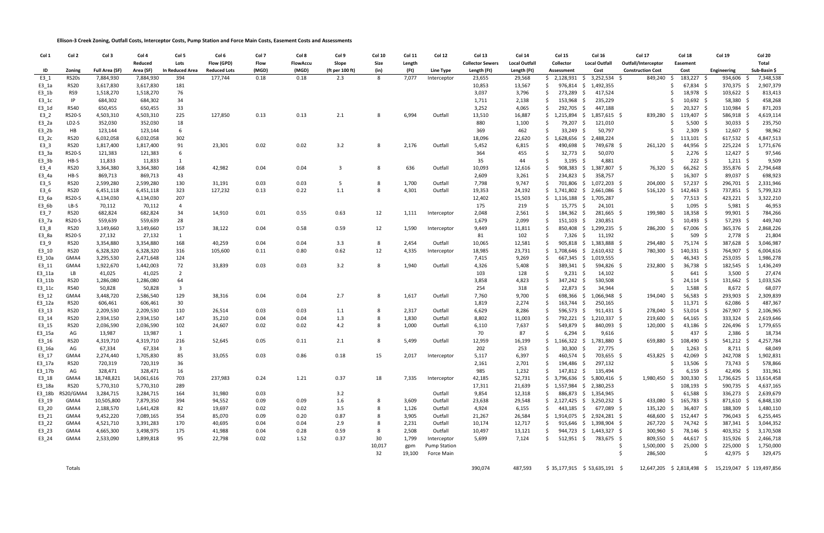**Ellison-3 Creek Zoning, Outfall Costs, Interceptor Costs, Pump Station and Force Main Costs, Easement Costs and Assessments**

| Col 1             | Col 2               | Col 3                 | Col 4               | Col 5                         | Col 6               | Col 7 | Col 8           | Col 9                   | Col 10 | Col 11 | Col 12              | Col 13                  | Col 14               | <b>Col 15</b>             | Col 16                               | Col 17                   | Col 18                     | <b>Col 19</b>                                      | Col 20              |
|-------------------|---------------------|-----------------------|---------------------|-------------------------------|---------------------|-------|-----------------|-------------------------|--------|--------|---------------------|-------------------------|----------------------|---------------------------|--------------------------------------|--------------------------|----------------------------|----------------------------------------------------|---------------------|
|                   |                     |                       | Reduced             | Lots                          | Flow (GPD)          | Flow  | <b>FlowAccu</b> | Slope                   | Size   | Length |                     | <b>Collector Sewers</b> | <b>Local Outfall</b> | Collector                 | <b>Local Outfall</b>                 | Outfall/Interceptor      | <b>Easement</b>            |                                                    | Total               |
| ID                | Zoning              | <b>Full Area (SF)</b> | Area (SF)           | <b>In Reduced Area</b>        | <b>Reduced Lots</b> | (MGD) | (MGD)           | (ft per 100 ft)         | (in)   | (Ft)   | Line Type           | Length (Ft)             | Length (Ft)          | Assessment                | Cost                                 | <b>Construction Cost</b> | Cost                       | Engineering                                        | Sub-Basin \$        |
| $E3_1$            | <b>RS20s</b>        | 7,884,930             | 7,884,930           | 394                           | 177,744             | 0.18  | 0.18            | 2.3                     | 8      | 7,077  | Interceptor         | 23,655                  | 29,568               | \$2,128,931               | 3,252,534 \$<br>-S                   | 849,240                  | 183,227 \$<br>S.           | 934,606                                            | 7,348,538           |
| $E3_1a$           | <b>RS20</b>         | 3,617,830             | 3,617,830           | 181                           |                     |       |                 |                         |        |        |                     | 10,853                  | 13,567               | 976,814 \$                | 1,492,355                            |                          | 67,834 \$                  | 370,375                                            | 2,907,379           |
| $E3_1$            | RS9                 | 1,518,270             | 1,518,270           | 76                            |                     |       |                 |                         |        |        |                     | 3,037                   | 3,796                | 273,289 \$                | 417,524                              |                          | 18,978 \$                  | 103,622 \$                                         | 813,413             |
| $E3_1c$           | IP                  | 684,302               | 684,302             | 34                            |                     |       |                 |                         |        |        |                     | 1,711                   | 2,138                | 153,968                   | 235,229<br>S.                        |                          | $10,692$ \$                | 58,380                                             | 458,268             |
| $E3_1$ d          | <b>RS40</b>         | 650,455               | 650,455             | 33                            |                     |       |                 |                         |        |        |                     | 3,252                   | 4,065                | 292,705                   | - \$<br>447,188                      |                          | 20,327 \$                  | 110,984 \$                                         | 871,203             |
| $E3_2$            | <b>RS20-S</b>       | 4,503,310             | 4,503,310           | 225                           | 127,850             | 0.13  | 0.13            | 2.1                     | 8      | 6,994  | Outfall             | 13,510                  | 16,887               | 1,215,894                 | - \$<br>1,857,615 \$                 | 839,280 \$               | 119,407 \$                 | 586,918                                            | 4,619,114           |
| E3_2a             | LD <sub>2</sub> -S  | 352,030               | 352,030             | 18                            |                     |       |                 |                         |        |        |                     | 880                     | 1,100                | 79,207 \$                 | 121,010                              |                          | 5,500 \$                   | $30,033$ \$                                        | 235,750             |
| $E3_2$            | HB                  | 123,144               | 123,144             | 6                             |                     |       |                 |                         |        |        |                     | 369                     | 462                  | 33,249                    | 50,797<br>-S                         |                          | $2,309$ \$                 | 12,607                                             | 98,962              |
| $E3_2c$           | <b>RS20</b>         | 6,032,058             | 6,032,058           | 302                           |                     |       |                 |                         |        |        |                     | 18,096                  | 22,620               |                           | 1,628,656 \$ 2,488,224               |                          | $113,101 \quad$ \$         | 617,532 \$                                         | 4,847,513           |
| $E3_3$            | <b>RS20</b>         | 1,817,400             | 1,817,400           | 91                            | 23,301              | 0.02  | 0.02            | 3.2                     | 8      | 2,176  | Outfall             | 5,452                   | 6,815                | 490,698 \$                | 749,678 \$                           | $261,120$ \$             | 44,956 \$                  | 225,224 \$                                         | 1,771,676           |
| E3_3a             | <b>RS20-S</b>       | 121,383               | 121,383             | 6                             |                     |       |                 |                         |        |        |                     | 364                     | 455                  | 32,773 \$                 | 50,070                               |                          | $2,276$ \$                 | 12,427                                             | 97,546              |
| $E3_3$            | HB-S                | 11,833                | 11,833              | 1                             |                     |       |                 |                         |        |        |                     | 35                      | 44                   | $3,195$ \$                | 4,881                                |                          | $222 \div$                 | $1,211$ \$                                         | 9,509               |
| E3_4              | <b>RS20</b>         | 3,364,380             | 3,364,380           | 168                           | 42,982              | 0.04  | 0.04            | $\overline{\mathbf{3}}$ | 8      | 636    | Outfall             | 10,093                  | 12,616               |                           | 908,383 \$ 1,387,807 \$              | 76,320 \$                | 66,262 \$                  | 355,876<br>- S                                     | 2,794,648           |
| E3_4a             | HB-S                | 869,713               | 869,713             | 43                            |                     |       |                 |                         |        |        |                     | 2,609                   | 3,261                | 234,823                   | $\ddot{\zeta}$<br>358,757            |                          | 16,307 \$<br><sub>S</sub>  | 89,037                                             | 698,923             |
| $E3-5$            | <b>RS20</b>         | 2,599,280             | 2,599,280           | 130                           | 31,191              | 0.03  | 0.03            | -5                      | 8      | 1,700  | Outfall             | 7,798                   | 9,747                |                           | 701,806 \$ 1,072,203 \$              | 204,000                  | 57,237 \$<br>-S            | 296,701                                            | 2,331,946           |
| E3_6              | <b>RS20</b>         | 6,451,118             | 6,451,118           | 323                           | 127,232             | 0.13  | 0.22            | 1.1                     | 8      | 4,301  | Outfall             | 19,353                  | 24,192               |                           | 1,741,802 \$ 2,661,086 \$            | $516,120$ \$             | 142,463 \$                 | 737,851                                            | 5,799,323           |
| E3_6a             | <b>RS20-S</b>       | 4,134,030             | 4,134,030           | 207                           |                     |       |                 |                         |        |        |                     | 12,402                  | 15,503               |                           | 1,116,188 \$ 1,705,287               |                          | 77,513 \$                  | 423,221<br>- S                                     | 3,322,210           |
| E3_6b             | LB-S                | 70,112                | 70,112              | $\overline{4}$                |                     |       |                 |                         |        |        |                     | 175                     | 219                  | 15,775 \$                 | 24,101                               |                          | $1,095$ \$                 | 5,981                                              | 46,953              |
| $E3-7$            | <b>RS20</b>         | 682,824               | 682,824             | 34                            | 14,910              | 0.01  | 0.55            | 0.63                    | 12     | 1,111  | Interceptor         | 2,048                   | 2,561                | 184,362                   | Ŝ.<br>281,665 \$                     | 199,980 \$               | 18,358 \$                  | 99,901                                             | 784,266             |
| E3_7a             | <b>RS20-S</b>       | 559,639               | 559,639             | 28                            |                     |       |                 |                         |        |        |                     | 1,679                   | 2,099                | $151,103 \quad $$         | 230,851                              |                          | 10,493 \$<br>-S            | $57,293$ \$                                        | 449,740             |
| E3_8              | <b>RS20</b>         | 3,149,660             | 3,149,660           | 157                           | 38,122              | 0.04  | 0.58            | 0.59                    | 12     | 1,590  | Interceptor         | 9,449                   | 11,811               |                           | 850,408 \$ 1,299,235 \$              | 286,200 \$               | 67,006 \$                  | 365,376 \$                                         | 2,868,226           |
| E3_8a             | <b>RS20-S</b>       | 27,132                | 27,132              | 1                             |                     |       |                 |                         |        |        |                     | 81                      | 102                  | 7,326 \$                  | 11,192                               |                          | $509 \quad$ \$             | 2,778                                              | 21,804              |
| E3_9              | <b>RS20</b>         | 3,354,880             | 3,354,880           | 168                           | 40,259              | 0.04  | 0.04            | 3.3                     | 8      | 2,454  | Outfall             | 10,065                  | 12,581               |                           | $905,818 \div 1,383,888 \div$        | 294,480 \$               | 75,174 \$                  | 387,628                                            | 3,046,987           |
| $E3$ 10           | <b>RS20</b>         | 6,328,320             | 6,328,320           | 316                           | 105,600             | 0.11  | 0.80            | 0.62                    | 12     | 4,335  | Interceptor         | 18,985                  | 23,731               |                           | $1,708,646 \quad $2,610,432 \quad $$ | 780,300 \$               | 140,331 \$                 | 764,907                                            | 6,004,616           |
| E3_10a            | GMA4                | 3,295,530             | 2,471,648           | 124                           |                     |       |                 |                         |        |        |                     | 7,415                   | 9,269                |                           | 667,345 \$ 1,019,555                 |                          | 46,343 \$                  | 253,035                                            | 1,986,278           |
| E3_11             | GMA4                | 1,922,670             | 1,442,003           | 72                            | 33,839              | 0.03  | 0.03            | 3.2                     | 8      | 1,940  | Outfall             | 4,326                   | 5,408                | $389,341$ \$              | 594,826 \$                           | 232,800 \$               | 36,738 \$                  | 182,545                                            | 1,436,249           |
| E3_11a            | LB                  | 41,025                | 41,025              | $\overline{2}$                |                     |       |                 |                         |        |        |                     | 103                     | 128                  | $9,231$ \$                | 14,102                               |                          | 641S                       | 3,500                                              | 27,474              |
|                   | <b>RS20</b>         |                       |                     |                               |                     |       |                 |                         |        |        |                     |                         | 4,823                |                           |                                      |                          |                            |                                                    |                     |
| E3_11b            | <b>RS40</b>         | 1,286,080<br>50,828   | 1,286,080<br>50,828 | 64<br>$\overline{\mathbf{3}}$ |                     |       |                 |                         |        |        |                     | 3,858<br>254            | 318                  | 347,242 \$<br>22,873      | 530,508<br>- \$<br>34,944            |                          | 24,114 \$<br>$1,588$ \$    | 131,662 \$<br>8,672                                | 1,033,526<br>68,077 |
| E3_11c<br>$E3_12$ |                     | 3,448,720             | 2,586,540           |                               | 38,316              | 0.04  | 0.04            | 2.7                     | 8      | 1,617  | Outfall             | 7,760                   | 9,700                | 698,366 \$                | 1,066,948 \$                         | 194,040 \$               | 56,583 \$                  | 293,903                                            | 2,309,839           |
|                   | GMA4<br><b>RS20</b> |                       |                     | 129                           |                     |       |                 |                         |        |        |                     |                         |                      |                           |                                      |                          |                            |                                                    |                     |
| E3_12a            |                     | 606,461               | 606,461             | 30                            |                     |       |                 |                         |        |        |                     | 1,819                   | 2,274                | $163,744$ \$              | 250,165                              |                          | 11,371 \$                  | 62,086 \$                                          | 487,367             |
| E3_13             | <b>RS20</b>         | 2,209,530             | 2,209,530           | 110                           | 26,514              | 0.03  | 0.03            | 1.1                     | 8      | 2,317  | Outfall             | 6,629                   | 8,286                | 596,573 \$<br>792,221 \$  | $911,431$ \$<br>$1,210,337$ \$       | 278,040 \$               | $53,014$ \$<br>$64,165$ \$ | 267,907                                            | 2,106,965           |
| E3_14             | <b>RS20</b>         | 2,934,150             | 2,934,150           | 147                           | 35,210              | 0.04  | 0.04            | 1.3                     | 8      | 1,830  | Outfall             | 8,802                   | 11,003               |                           |                                      | $219,600$ \$             |                            | 333,324                                            | 2,619,646           |
| $E3_15$           | <b>RS20</b>         | 2,036,590             | 2,036,590           | 102                           | 24,607              | 0.02  | 0.02            | 4.2                     | 8      | 1,000  | Outfall             | 6,110                   | 7,637                | 549,879 \$                | 840,093 \$                           | $120,000$ \$             | 43,186 \$                  | 226,496<br>-S                                      | 1,779,655           |
| E3_15a            | AG                  | 13,987                | 13,987              | 1                             |                     |       |                 |                         |        |        |                     | 70                      | 87                   | 6,294                     | -Ŝ<br>9,616                          |                          | 437 \$                     | 2,386                                              | 18,734              |
| E3_16             | <b>RS20</b>         | 4,319,710             | 4,319,710           | 216                           | 52,645              | 0.05  | 0.11            | 2.1                     | 8      | 5,499  | Outfall             | 12,959                  | 16,199               | 1,166,322                 | - \$<br>1,781,880 \$                 | 659,880                  | 108,490 \$<br>-S           | 541,212                                            | 4,257,784           |
| E3_16a            | AG                  | 67,334                | 67,334              | $\overline{\mathbf{3}}$       |                     |       |                 |                         |        |        |                     | 202                     | 253                  | 30,300 \$                 | 27,775                               |                          | $1,263$ \$<br>S.           | $8,711 \quad $$                                    | 68,049              |
| E3_17             | GMA4                | 2,274,440             | 1,705,830           | 85                            | 33,055              | 0.03  | 0.86            | 0.18                    | 15     | 2,017  | Interceptor         | 5,117                   | 6,397                | 460,574 \$                | 703,655 \$                           | 453,825 \$               | 42,069 \$                  | 242,708 \$                                         | 1,902,831           |
| E3_17a            | <b>RS20</b>         | 720,319               | 720,319             | 36                            |                     |       |                 |                         |        |        |                     | 2,161                   | 2,701                | 194,486 \$                | 297,132                              |                          | 13,506 \$                  | 73,743 \$                                          | 578,866             |
| E3_17b            | AG                  | 328,471               | 328,471             | 16                            |                     |       |                 |                         |        |        |                     | 985                     | 1,232                |                           | 147,812 \$ 135,494                   |                          | $6,159$ \$                 | 42,496 \$                                          | 331,961             |
| E3_18             | GMA4                | 18,748,821            | 14,061,616          | 703                           | 237,983             | 0.24  | 1.21            | 0.37                    | 18     | 7,335  | Interceptor         | 42,185                  | 52,731               |                           | $$3,796,636$ $$5,800,416$ \$         | 1,980,450 \$             | 300,330 \$                 | 1,736,625 \$                                       | 13,614,458          |
| E3_18a            | <b>RS20</b>         | 5,770,310             | 5,770,310           | 289                           |                     |       |                 |                         |        |        |                     | 17,311                  | 21,639               | $$1,557,984$ $$2,380,253$ |                                      |                          | 108,193 \$<br>S.           | 590,735 \$                                         | 4,637,165           |
| E3_18b            | RS20/GMA4           | 3,284,715             | 3,284,715           | 164                           | 31,980              | 0.03  |                 | 3.2                     |        |        | Outfall             | 9,854                   | 12,318               |                           | 886,873 \$ 1,354,945                 |                          | 61,588 \$<br><sub>S</sub>  | 336,273 \$                                         | 2,639,679           |
| E3_19             | GMA4                | 10,505,800            | 7,879,350           | 394                           | 94,552              | 0.09  | 0.09            | 1.6                     | 8      | 3,609  | Outfall             | 23,638                  | 29,548               |                           | $$2,127,425$ $$3,250,232$ \$         | 433,080 \$               | 165,783 \$                 | 871,610 \$                                         | 6,848,130           |
| E3_20             | GMA4                | 2,188,570             | 1,641,428           | 82                            | 19,697              | 0.02  | 0.02            | 3.5                     | 8      | 1,126  | Outfall             | 4,924                   | 6,155                |                           | 443,185 \$ 677,089 \$                | $135,120$ \$             | 36,407\$                   | 188,309 \$                                         | 1,480,110           |
| E3_21             | GMA4                | 9,452,220             | 7,089,165           | 354                           | 85,070              | 0.09  | 0.20            | 0.87                    | 8      | 3,905  | Outfall             | 21,267                  | 26,584               |                           | 1,914,075 \$ 2,924,281 \$            | 468,600 \$               | 152,447 \$                 | 796,043 \$                                         | 6,255,445           |
| E3_22             | GMA4                | 4,521,710             | 3,391,283           | 170                           | 40,695              | 0.04  | 0.04            | 2.9                     | 8      | 2,231  | Outfall             | 10,174                  | 12,717               |                           | 915,646 \$ 1,398,904 \$              | 267,720 \$               | 74,742 \$                  | 387,341 \$                                         | 3,044,352           |
| E3_23             | GMA4                | 4,665,300             | 3,498,975           | 175                           | 41,988              | 0.04  | 0.28            | 0.59                    | 8      | 2,508  | Outfall             | 10,497                  | 13,121               |                           | 944,723 \$ 1,443,327 \$              | 300,960 \$               | 78,146 \$                  | 403,352 \$                                         | 3,170,508           |
| E3_24             | GMA4                | 2,533,090             | 1,899,818           | 95                            | 22,798              | 0.02  | 1.52            | 0.37                    | 30     | 1,799  | Interceptor         | 5,699                   | 7,124                | S.                        | 512,951 \$ 783,675 \$                | 809,550 \$               | 44,617 \$                  | 315,926 \$                                         | 2,466,718           |
|                   |                     |                       |                     |                               |                     |       |                 |                         | 10,017 | gpm    | <b>Pump Station</b> |                         |                      |                           |                                      | 1,500,000 \$             | 25,000 \$                  | 225,000 \$                                         | 1,750,000           |
|                   |                     |                       |                     |                               |                     |       |                 |                         | 32     | 19,100 | Force Main          |                         |                      |                           |                                      | -Ś<br>286,500            | -S                         | 42,975 \$                                          | 329,475             |
|                   |                     |                       |                     |                               |                     |       |                 |                         |        |        |                     |                         |                      |                           |                                      |                          |                            |                                                    |                     |
|                   | Totals              |                       |                     |                               |                     |       |                 |                         |        |        |                     | 390,074                 | 487,593              |                           | \$35,177,915 \$53,635,191 \$         |                          |                            | 12,647,205 \$2,818,498 \$ 15,219,047 \$119,497,856 |                     |